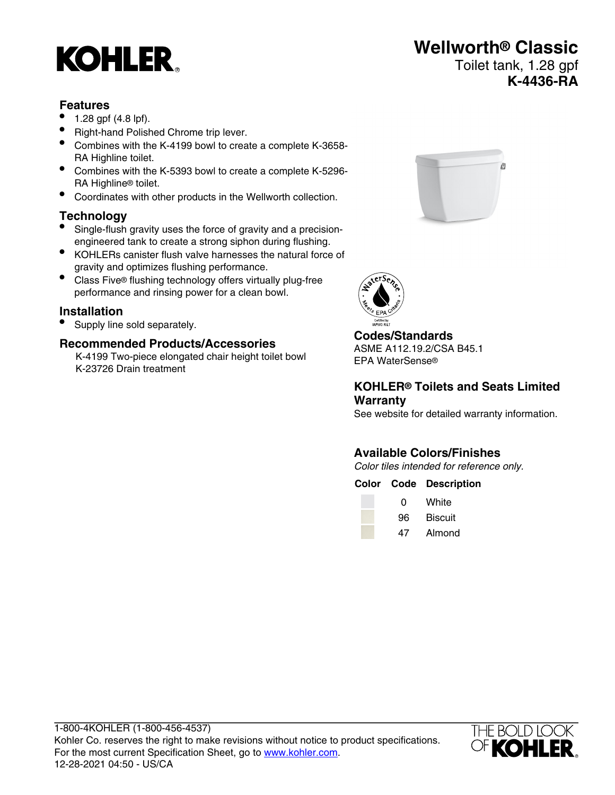# **KOHLER**

# **Wellworth® Classic**

# Toilet tank, 1.28 gpf **K-4436-RA**

#### **Features**

- 1.28 gpf (4.8 lpf).
- Right-hand Polished Chrome trip lever.
- Combines with the K-4199 bowl to create a complete K-3658- RA Highline toilet.
- Combines with the K-5393 bowl to create a complete K-5296- RA Highline® toilet.
- Coordinates with other products in the Wellworth collection.

### **Technology**

- Single-flush gravity uses the force of gravity and a precisionengineered tank to create a strong siphon during flushing.
- KOHLERs canister flush valve harnesses the natural force of gravity and optimizes flushing performance.
- Class Five® flushing technology offers virtually plug-free performance and rinsing power for a clean bowl.

### **Installation**

• Supply line sold separately.

## **Recommended Products/Accessories**

K-4199 Two-piece elongated chair height toilet bowl K-23726 Drain treatment





# **Codes/Standards**

ASME A112.19.2/CSA B45.1 EPA WaterSense®

#### **KOHLER® Toilets and Seats Limited Warranty**

See website for detailed warranty information.

# **Available Colors/Finishes**

Color tiles intended for reference only.

|   | <b>Color Code Description</b> |
|---|-------------------------------|
| 0 | White                         |
|   | 96 Biscuit                    |
|   | 47 Almond                     |